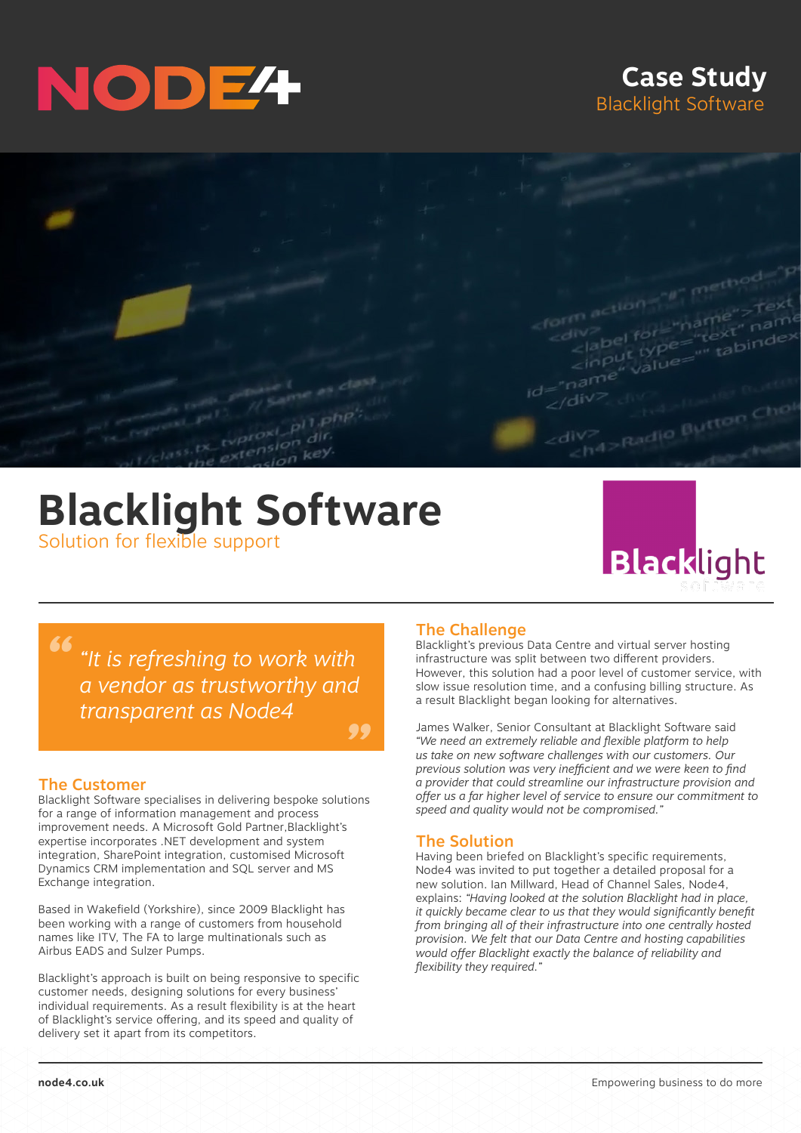# NODE<sup>4</sup>

### **Case Study** Blacklight Software



## **Blacklight Software** Solution for flexible support



*" "It is refreshing to work with a vendor as trustworthy and transparent as Node4*

#### *"*

#### The Customer

Blacklight Software specialises in delivering bespoke solutions for a range of information management and process improvement needs. A Microsoft Gold Partner,Blacklight's expertise incorporates .NET development and system integration, SharePoint integration, customised Microsoft Dynamics CRM implementation and SQL server and MS Exchange integration.

Based in Wakefield (Yorkshire), since 2009 Blacklight has been working with a range of customers from household names like ITV, The FA to large multinationals such as Airbus EADS and Sulzer Pumps.

Blacklight's approach is built on being responsive to specific customer needs, designing solutions for every business' individual requirements. As a result flexibility is at the heart of Blacklight's service offering, and its speed and quality of delivery set it apart from its competitors.

#### The Challenge

Blacklight's previous Data Centre and virtual server hosting infrastructure was split between two different providers. However, this solution had a poor level of customer service, with slow issue resolution time, and a confusing billing structure. As a result Blacklight began looking for alternatives.

James Walker, Senior Consultant at Blacklight Software said *"We need an extremely reliable and flexible platform to help us take on new software challenges with our customers. Our previous solution was very inefficient and we were keen to find a provider that could streamline our infrastructure provision and offer us a far higher level of service to ensure our commitment to speed and quality would not be compromised."* 

#### The Solution

Having been briefed on Blacklight's specific requirements, Node4 was invited to put together a detailed proposal for a new solution. Ian Millward, Head of Channel Sales, Node4, explains: *"Having looked at the solution Blacklight had in place, it quickly became clear to us that they would significantly benefit from bringing all of their infrastructure into one centrally hosted provision. We felt that our Data Centre and hosting capabilities would offer Blacklight exactly the balance of reliability and flexibility they required."*